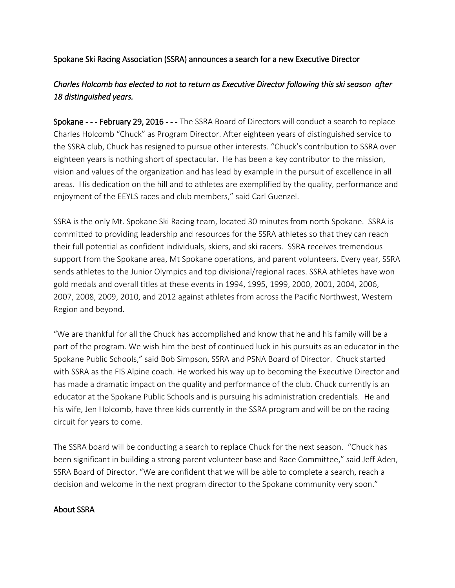## Spokane Ski Racing Association (SSRA) announces a search for a new Executive Director

## *Charles Holcomb has elected to not to return as Executive Director following this ski season after 18 distinguished years.*

Spokane - - - February 29, 2016 - - - The SSRA Board of Directors will conduct a search to replace Charles Holcomb "Chuck" as Program Director. After eighteen years of distinguished service to the SSRA club, Chuck has resigned to pursue other interests. "Chuck's contribution to SSRA over eighteen years is nothing short of spectacular. He has been a key contributor to the mission, vision and values of the organization and has lead by example in the pursuit of excellence in all areas. His dedication on the hill and to athletes are exemplified by the quality, performance and enjoyment of the EEYLS races and club members," said Carl Guenzel.

SSRA is the only Mt. Spokane Ski Racing team, located 30 minutes from north Spokane. SSRA is committed to providing leadership and resources for the SSRA athletes so that they can reach their full potential as confident individuals, skiers, and ski racers. SSRA receives tremendous support from the Spokane area, Mt Spokane operations, and parent volunteers. Every year, SSRA sends athletes to the Junior Olympics and top divisional/regional races. SSRA athletes have won gold medals and overall titles at these events in 1994, 1995, 1999, 2000, 2001, 2004, 2006, 2007, 2008, 2009, 2010, and 2012 against athletes from across the Pacific Northwest, Western Region and beyond.

"We are thankful for all the Chuck has accomplished and know that he and his family will be a part of the program. We wish him the best of continued luck in his pursuits as an educator in the Spokane Public Schools," said Bob Simpson, SSRA and PSNA Board of Director. Chuck started with SSRA as the FIS Alpine coach. He worked his way up to becoming the Executive Director and has made a dramatic impact on the quality and performance of the club. Chuck currently is an educator at the Spokane Public Schools and is pursuing his administration credentials. He and his wife, Jen Holcomb, have three kids currently in the SSRA program and will be on the racing circuit for years to come.

The SSRA board will be conducting a search to replace Chuck for the next season. "Chuck has been significant in building a strong parent volunteer base and Race Committee," said Jeff Aden, SSRA Board of Director. "We are confident that we will be able to complete a search, reach a decision and welcome in the next program director to the Spokane community very soon."

## About SSRA